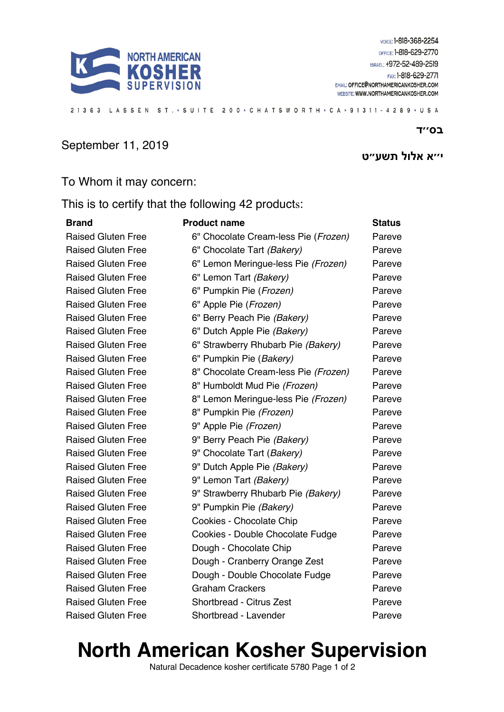

21363 LASSEN ST. · SUITE 200 · CHATSWORTH · CA · 91311 - 4289 · USA

#### September 11, 2019

### **א׳׳י לולא ״עשת ט**

 **סב '' ד**

#### To Whom it may concern:

This is to certify that the following 42 products:

| <b>Brand</b>              | <b>Product name</b>                  | <b>Status</b> |
|---------------------------|--------------------------------------|---------------|
| <b>Raised Gluten Free</b> | 6" Chocolate Cream-less Pie (Frozen) | Pareve        |
| <b>Raised Gluten Free</b> | 6" Chocolate Tart (Bakery)           | Pareve        |
| <b>Raised Gluten Free</b> | 6" Lemon Meringue-less Pie (Frozen)  | Pareve        |
| <b>Raised Gluten Free</b> | 6" Lemon Tart (Bakery)               | Pareve        |
| <b>Raised Gluten Free</b> | 6" Pumpkin Pie (Frozen)              | Pareve        |
| <b>Raised Gluten Free</b> | 6" Apple Pie (Frozen)                | Pareve        |
| <b>Raised Gluten Free</b> | 6" Berry Peach Pie (Bakery)          | Pareve        |
| <b>Raised Gluten Free</b> | 6" Dutch Apple Pie (Bakery)          | Pareve        |
| <b>Raised Gluten Free</b> | 6" Strawberry Rhubarb Pie (Bakery)   | Pareve        |
| <b>Raised Gluten Free</b> | 6" Pumpkin Pie (Bakery)              | Pareve        |
| <b>Raised Gluten Free</b> | 8" Chocolate Cream-less Pie (Frozen) | Pareve        |
| <b>Raised Gluten Free</b> | 8" Humboldt Mud Pie (Frozen)         | Pareve        |
| <b>Raised Gluten Free</b> | 8" Lemon Meringue-less Pie (Frozen)  | Pareve        |
| <b>Raised Gluten Free</b> | 8" Pumpkin Pie (Frozen)              | Pareve        |
| <b>Raised Gluten Free</b> | 9" Apple Pie (Frozen)                | Pareve        |
| <b>Raised Gluten Free</b> | 9" Berry Peach Pie (Bakery)          | Pareve        |
| <b>Raised Gluten Free</b> | 9" Chocolate Tart (Bakery)           | Pareve        |
| <b>Raised Gluten Free</b> | 9" Dutch Apple Pie (Bakery)          | Pareve        |
| <b>Raised Gluten Free</b> | 9" Lemon Tart (Bakery)               | Pareve        |
| <b>Raised Gluten Free</b> | 9" Strawberry Rhubarb Pie (Bakery)   | Pareve        |
| <b>Raised Gluten Free</b> | 9" Pumpkin Pie (Bakery)              | Pareve        |
| <b>Raised Gluten Free</b> | Cookies - Chocolate Chip             | Pareve        |
| <b>Raised Gluten Free</b> | Cookies - Double Chocolate Fudge     | Pareve        |
| <b>Raised Gluten Free</b> | Dough - Chocolate Chip               | Pareve        |
| <b>Raised Gluten Free</b> | Dough - Cranberry Orange Zest        | Pareve        |
| <b>Raised Gluten Free</b> | Dough - Double Chocolate Fudge       | Pareve        |
| <b>Raised Gluten Free</b> | <b>Graham Crackers</b>               | Pareve        |
| <b>Raised Gluten Free</b> | <b>Shortbread - Citrus Zest</b>      | Pareve        |
| <b>Raised Gluten Free</b> | Shortbread - Lavender                | Pareve        |

# **North American Kosher Supervision**

Natural Decadence kosher certificate 5780 Page 1 of 2